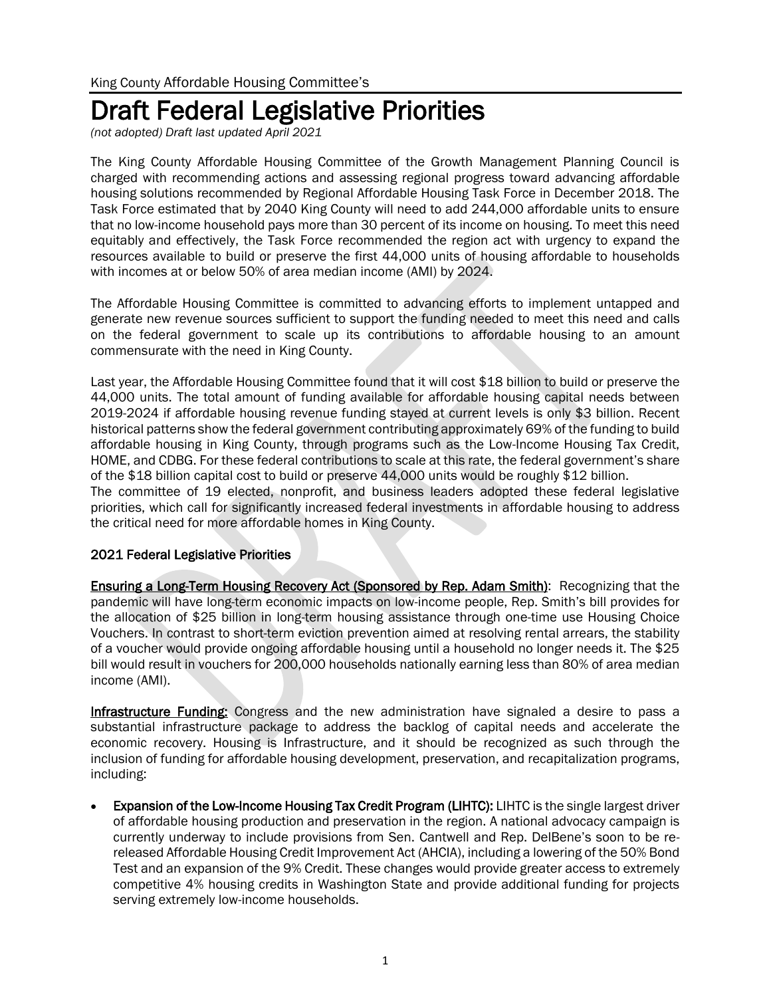## Draft Federal Legislative Priorities

*(not adopted) Draft last updated April 2021*

The King County Affordable Housing Committee of the Growth Management Planning Council is charged with recommending actions and assessing regional progress toward advancing affordable housing solutions recommended by Regional Affordable Housing Task Force in December 2018. The Task Force estimated that by 2040 King County will need to add 244,000 affordable units to ensure that no low-income household pays more than 30 percent of its income on housing. To meet this need equitably and effectively, the Task Force recommended the region act with urgency to expand the resources available to build or preserve the first 44,000 units of housing affordable to households with incomes at or below 50% of area median income (AMI) by 2024.

The Affordable Housing Committee is committed to advancing efforts to implement untapped and generate new revenue sources sufficient to support the funding needed to meet this need and calls on the federal government to scale up its contributions to affordable housing to an amount commensurate with the need in King County.

Last year, the Affordable Housing Committee found that it will cost \$18 billion to build or preserve the 44,000 units. The total amount of funding available for affordable housing capital needs between 2019-2024 if affordable housing revenue funding stayed at current levels is only \$3 billion. Recent historical patterns show the federal government contributing approximately 69% of the funding to build affordable housing in King County, through programs such as the Low-Income Housing Tax Credit, HOME, and CDBG. For these federal contributions to scale at this rate, the federal government's share of the \$18 billion capital cost to build or preserve 44,000 units would be roughly \$12 billion. The committee of 19 elected, nonprofit, and business leaders adopted these federal legislative priorities, which call for significantly increased federal investments in affordable housing to address the critical need for more affordable homes in King County.

## 2021 Federal Legislative Priorities

Ensuring a Long-Term Housing Recovery Act (Sponsored by Rep. Adam Smith): Recognizing that the pandemic will have long-term economic impacts on low-income people, Rep. Smith's bill provides for the allocation of \$25 billion in long-term housing assistance through one-time use Housing Choice Vouchers. In contrast to short-term eviction prevention aimed at resolving rental arrears, the stability of a voucher would provide ongoing affordable housing until a household no longer needs it. The \$25 bill would result in vouchers for 200,000 households nationally earning less than 80% of area median income (AMI).

Infrastructure Funding: Congress and the new administration have signaled a desire to pass a substantial infrastructure package to address the backlog of capital needs and accelerate the economic recovery. Housing is Infrastructure, and it should be recognized as such through the inclusion of funding for affordable housing development, preservation, and recapitalization programs, including:

**Expansion of the Low-Income Housing Tax Credit Program (LIHTC): LIHTC** is the single largest driver of affordable housing production and preservation in the region. A national advocacy campaign is currently underway to include provisions from Sen. Cantwell and Rep. DelBene's soon to be rereleased Affordable Housing Credit Improvement Act (AHCIA), including a lowering of the 50% Bond Test and an expansion of the 9% Credit. These changes would provide greater access to extremely competitive 4% housing credits in Washington State and provide additional funding for projects serving extremely low-income households.